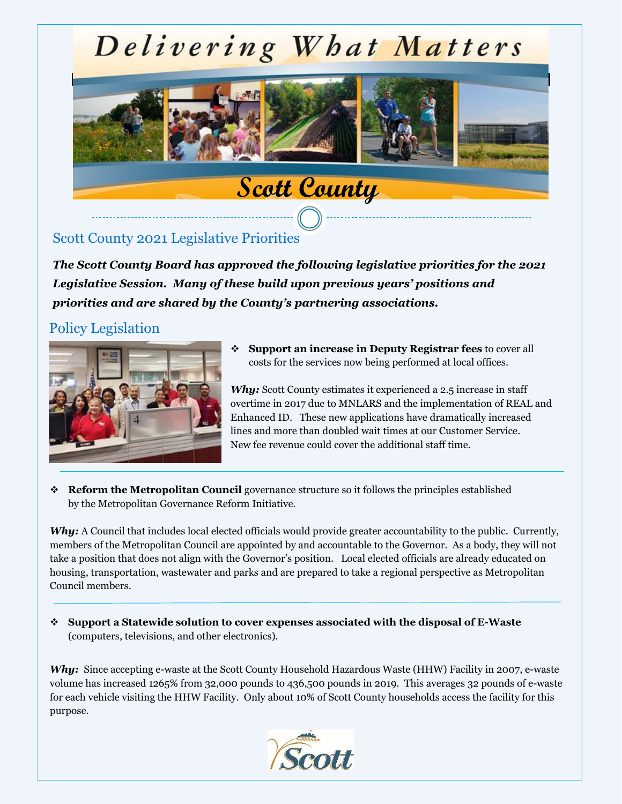# Delivering What Matters



# Scott County 2021 Legislative Priorities

*The Scott County Board has approved the following legislative priorities for the 2021 Legislative Session. Many of these build upon previous years' positions and priorities and are shared by the County's partnering associations.*

# Policy Legislation



❖ **Support an increase in Deputy Registrar fees** to cover all costs for the services now being performed at local offices.

*Why:* Scott County estimates it experienced a 2.5 increase in staff overtime in 2017 due to MNLARS and the implementation of REAL and Enhanced ID. These new applications have dramatically increased lines and more than doubled wait times at our Customer Service. New fee revenue could cover the additional staff time.

❖ **Reform the Metropolitan Council** governance structure so it follows the principles established by the Metropolitan Governance Reform Initiative.

*Why:* A Council that includes local elected officials would provide greater accountability to the public. Currently, members of the Metropolitan Council are appointed by and accountable to the Governor. As a body, they will not take a position that does not align with the Governor's position. Local elected officials are already educated on housing, transportation, wastewater and parks and are prepared to take a regional perspective as Metropolitan Council members.

❖ **Support a Statewide solution to cover expenses associated with the disposal of E-Waste**  (computers, televisions, and other electronics).

Why: Since accepting e-waste at the Scott County Household Hazardous Waste (HHW) Facility in 2007, e-waste volume has increased 1265% from 32,000 pounds to 436,500 pounds in 2019. This averages 32 pounds of e-waste for each vehicle visiting the HHW Facility. Only about 10% of Scott County households access the facility for this purpose.

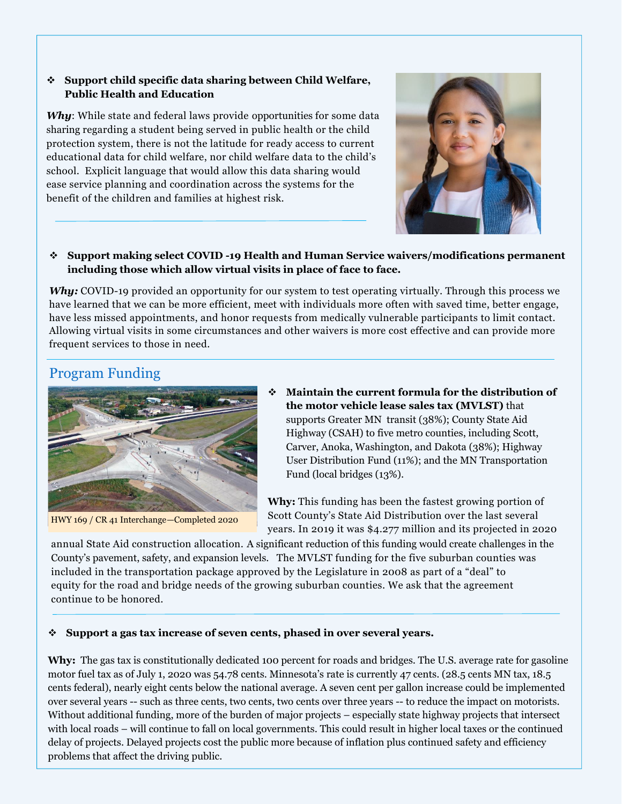#### ❖ **Support child specific data sharing between Child Welfare, Public Health and Education**

*Why*: While state and federal laws provide opportunities for some data sharing regarding a student being served in public health or the child protection system, there is not the latitude for ready access to current educational data for child welfare, nor child welfare data to the child's school. Explicit language that would allow this data sharing would ease service planning and coordination across the systems for the benefit of the children and families at highest risk.



## ❖ **Support making select COVID -19 Health and Human Service waivers/modifications permanent including those which allow virtual visits in place of face to face.**

*Why:* COVID-19 provided an opportunity for our system to test operating virtually. Through this process we have learned that we can be more efficient, meet with individuals more often with saved time, better engage, have less missed appointments, and honor requests from medically vulnerable participants to limit contact. Allowing virtual visits in some circumstances and other waivers is more cost effective and can provide more frequent services to those in need.

# Program Funding



HWY 169 / CR 41 Interchange—Completed 2020

❖ **Maintain the current formula for the distribution of the motor vehicle lease sales tax (MVLST)** that supports Greater MN transit (38%); County State Aid Highway (CSAH) to five metro counties, including Scott, Carver, Anoka, Washington, and Dakota (38%); Highway User Distribution Fund (11%); and the MN Transportation Fund (local bridges (13%).

**Why:** This funding has been the fastest growing portion of Scott County's State Aid Distribution over the last several years. In 2019 it was \$4.277 million and its projected in 2020

annual State Aid construction allocation. A significant reduction of this funding would create challenges in the County's County's pavement, safety, and expansion levels.The MVLST funding for the five suburban counties was included in the transportation package approved by the Legislature in 2008 as part of a "deal" to equity for the road and bridge needs of the growing suburban counties. We ask that the agreement continue to be honored.

## ❖ **Support a gas tax increase of seven cents, phased in over several years.**

**Why:** The gas tax is constitutionally dedicated 100 percent for roads and bridges. The U.S. average rate for gasoline motor fuel tax as of July 1, 2020 was 54.78 cents. Minnesota's rate is currently 47 cents. (28.5 cents MN tax, 18.5 cents federal), nearly eight cents below the national average. A seven cent per gallon increase could be implemented over several years -- such as three cents, two cents, two cents over three years -- to reduce the impact on motorists. Without additional funding, more of the burden of major projects – especially state highway projects that intersect with local roads – will continue to fall on local governments. This could result in higher local taxes or the continued delay of projects. Delayed projects cost the public more because of inflation plus continued safety and efficiency problems that affect the driving public.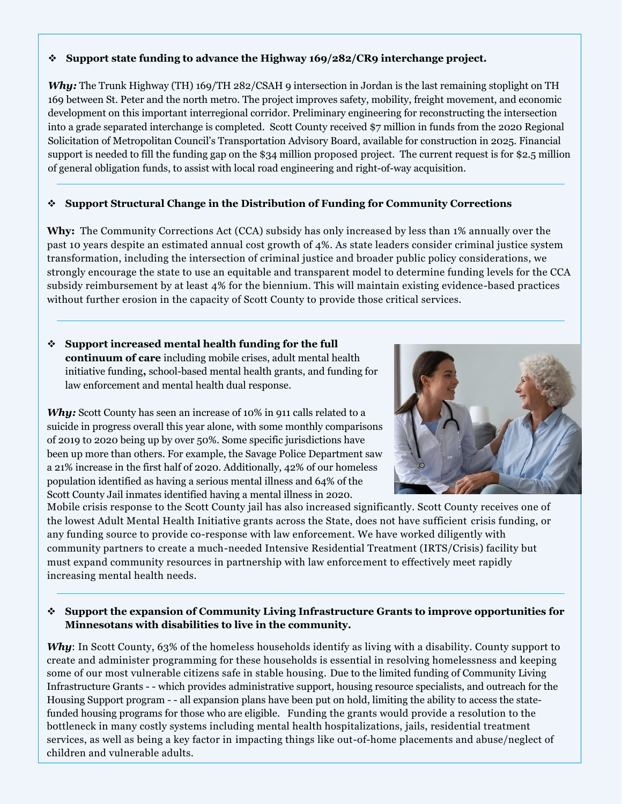#### ❖ **Support state funding to advance the Highway 169/282/CR9 interchange project.**

*Why:* The Trunk Highway (TH) 169/TH 282/CSAH 9 intersection in Jordan is the last remaining stoplight on TH 169 between St. Peter and the north metro. The project improves safety, mobility, freight movement, and economic development on this important interregional corridor. Preliminary engineering for reconstructing the intersection into a grade separated interchange is completed. Scott County received \$7 million in funds from the 2020 Regional Solicitation of Metropolitan Council's Transportation Advisory Board, available for construction in 2025. Financial support is needed to fill the funding gap on the \$34 million proposed project. The current request is for \$2.5 million of general obligation funds, to assist with local road engineering and right-of-way acquisition.

## ❖ **Support Structural Change in the Distribution of Funding for Community Corrections**

**Why:** The Community Corrections Act (CCA) subsidy has only increased by less than 1% annually over the past 10 years despite an estimated annual cost growth of 4%. As state leaders consider criminal justice system transformation, including the intersection of criminal justice and broader public policy considerations, we strongly encourage the state to use an equitable and transparent model to determine funding levels for the CCA subsidy reimbursement by at least 4% for the biennium. This will maintain existing evidence-based practices without further erosion in the capacity of Scott County to provide those critical services.

## ❖ **Support increased mental health funding for the full continuum of care** including mobile crises, adult mental health initiative funding**,** school-based mental health grants, and funding for law enforcement and mental health dual response.

*Why:* Scott County has seen an increase of 10% in 911 calls related to a suicide in progress overall this year alone, with some monthly comparisons of 2019 to 2020 being up by over 50%. Some specific jurisdictions have been up more than others. For example, the Savage Police Department saw a 21% increase in the first half of 2020. Additionally, 42% of our homeless population identified as having a serious mental illness and 64% of the Scott County Jail inmates identified having a mental illness in 2020.



Mobile crisis response to the Scott County jail has also increased significantly. Scott County receives one of the lowest Adult Mental Health Initiative grants across the State, does not have sufficient crisis funding, or any funding source to provide co-response with law enforcement. We have worked diligently with community partners to create a much-needed Intensive Residential Treatment (IRTS/Crisis) facility but must expand community resources in partnership with law enforcement to effectively meet rapidly increasing mental health needs.

## ❖ **Support the expansion of Community Living Infrastructure Grants to improve opportunities for Minnesotans with disabilities to live in the community.**

*Why*: In Scott County, 63% of the homeless households identify as living with a disability. County support to create and administer programming for these households is essential in resolving homelessness and keeping some of our most vulnerable citizens safe in stable housing. Due to the limited funding of Community Living Infrastructure Grants - - which provides administrative support, housing resource specialists, and outreach for the Housing Support program - - all expansion plans have been put on hold, limiting the ability to access the statefunded housing programs for those who are eligible. Funding the grants would provide a resolution to the bottleneck in many costly systems including mental health hospitalizations, jails, residential treatment services, as well as being a key factor in impacting things like out-of-home placements and abuse/neglect of children and vulnerable adults.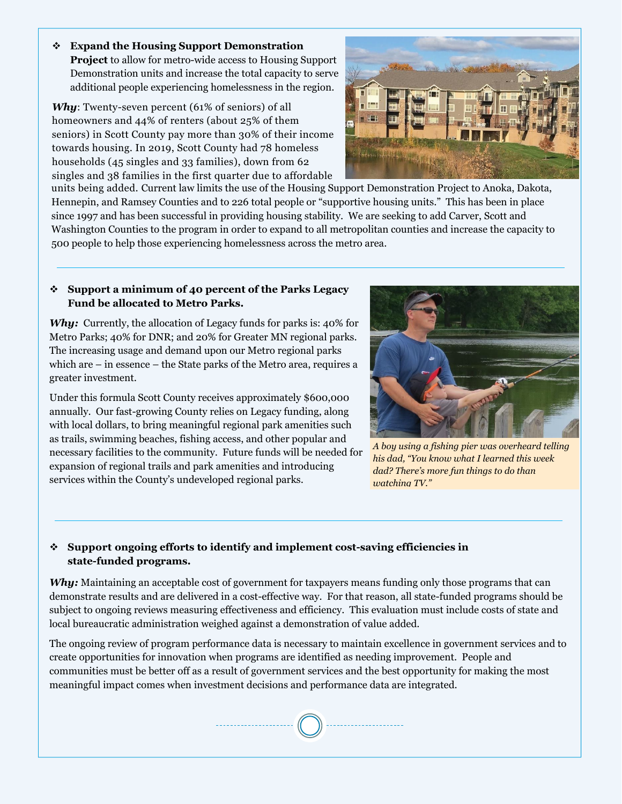❖ **Expand the Housing Support Demonstration Project** to allow for metro-wide access to Housing Support Demonstration units and increase the total capacity to serve additional people experiencing homelessness in the region.

*Why*: Twenty-seven percent (61% of seniors) of all homeowners and 44% of renters (about 25% of them seniors) in Scott County pay more than 30% of their income towards housing. In 2019, Scott County had 78 homeless households (45 singles and 33 families), down from 62 singles and 38 families in the first quarter due to affordable



units being added. Current law limits the use of the Housing Support Demonstration Project to Anoka, Dakota, Hennepin, and Ramsey Counties and to 226 total people or "supportive housing units." This has been in place since 1997 and has been successful in providing housing stability. We are seeking to add Carver, Scott and Washington Counties to the program in order to expand to all metropolitan counties and increase the capacity to 500 people to help those experiencing homelessness across the metro area.

#### ❖ **Support a minimum of 40 percent of the Parks Legacy Fund be allocated to Metro Parks.**

Why: Currently, the allocation of Legacy funds for parks is: 40% for Metro Parks; 40% for DNR; and 20% for Greater MN regional parks. The increasing usage and demand upon our Metro regional parks which are – in essence – the State parks of the Metro area, requires a greater investment.

Under this formula Scott County receives approximately \$600,000 annually. Our fast-growing County relies on Legacy funding, along with local dollars, to bring meaningful regional park amenities such as trails, swimming beaches, fishing access, and other popular and necessary facilities to the community. Future funds will be needed for expansion of regional trails and park amenities and introducing services within the County's undeveloped regional parks.



*A boy using a fishing pier was overheard telling his dad, "You know what I learned this week dad? There's more fun things to do than watching TV."* 

# ❖ **Support ongoing efforts to identify and implement cost-saving efficiencies in state-funded programs.**

*Why:* Maintaining an acceptable cost of government for taxpayers means funding only those programs that can demonstrate results and are delivered in a cost-effective way. For that reason, all state-funded programs should be subject to ongoing reviews measuring effectiveness and efficiency. This evaluation must include costs of state and local bureaucratic administration weighed against a demonstration of value added.

The ongoing review of program performance data is necessary to maintain excellence in government services and to create opportunities for innovation when programs are identified as needing improvement. People and communities must be better off as a result of government services and the best opportunity for making the most meaningful impact comes when investment decisions and performance data are integrated.